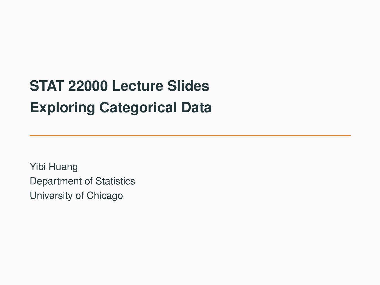# **STAT 22000 Lecture Slides Exploring Categorical Data**

Yibi Huang Department of Statistics University of Chicago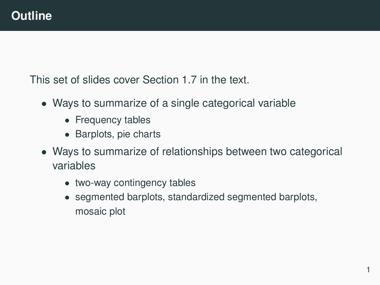This set of slides cover Section 1.7 in the text.

- Ways to summarize of a single categorical variable
	- Frequency tables
	- Barplots, pie charts
- Ways to summarize of relationships between two categorical variables
	- two-way contingency tables
	- segmented barplots, standardized segmented barplots, mosaic plot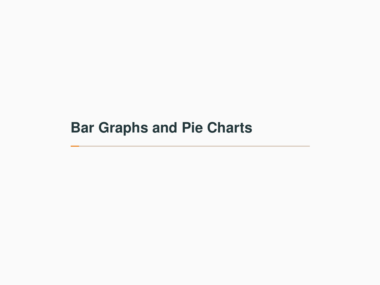# <span id="page-2-0"></span>**[Bar Graphs and Pie Charts](#page-2-0)**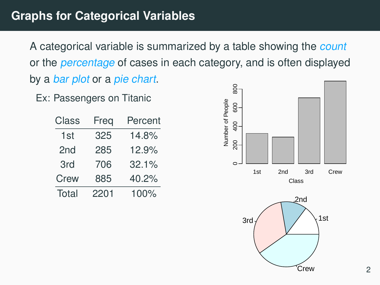A categorical variable is summarized by a table showing the count or the percentage of cases in each category, and is often displayed by a bar plot or a pie chart.

Ex: Passengers on Titanic

| Class | Freq | Percent |
|-------|------|---------|
| 1st   | 325  | 14.8%   |
| 2nd   | 285  | 12.9%   |
| 3rd   | 706  | 32.1%   |
| Crew  | 885  | 40.2%   |
| Total | 2201 | 100%    |



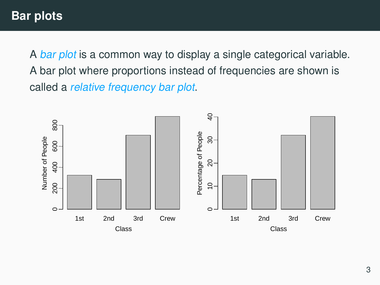A bar plot is a common way to display a single categorical variable. A bar plot where proportions instead of frequencies are shown is called a relative frequency bar plot.

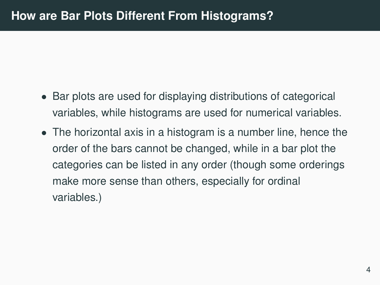- Bar plots are used for displaying distributions of categorical variables, while histograms are used for numerical variables.
- The horizontal axis in a histogram is a number line, hence the order of the bars cannot be changed, while in a bar plot the categories can be listed in any order (though some orderings make more sense than others, especially for ordinal variables.)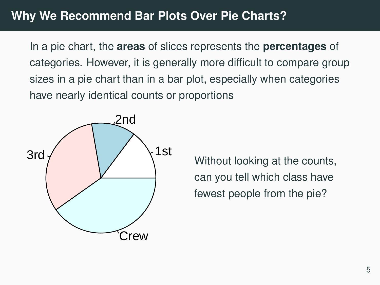In a pie chart, the **areas** of slices represents the **percentages** of categories. However, it is generally more difficult to compare group sizes in a pie chart than in a bar plot, especially when categories have nearly identical counts or proportions



Without looking at the counts, can you tell which class have fewest people from the pie?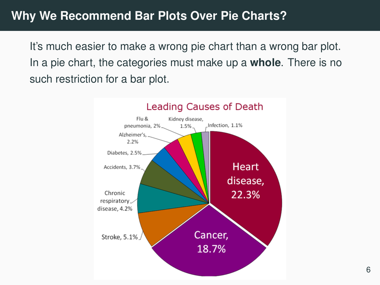It's much easier to make a wrong pie chart than a wrong bar plot. In a pie chart, the categories must make up a **whole**. There is no such restriction for a bar plot.

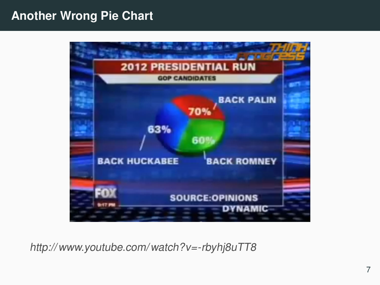#### **Another Wrong Pie Chart**



[http:// www.youtube.com/ watch?v=-rbyhj8uTT8](http://www.youtube.com/watch?v=-rbyhj8uTT8)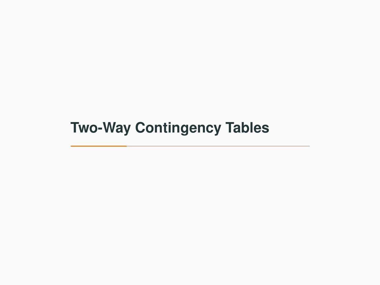# <span id="page-9-0"></span>**[Two-Way Contingency Tables](#page-9-0)**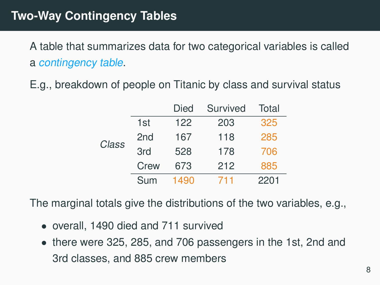## **Two-Way Contingency Tables**

A table that summarizes data for two categorical variables is called a contingency table.

E.g., breakdown of people on Titanic by class and survival status

|       |      | Died | Survived | Total |
|-------|------|------|----------|-------|
|       | 1st  | 122  | 203      | 325   |
| Class | 2nd  | 167  | 118      | 285   |
|       | 3rd  | 528  | 178      | 706   |
|       | Crew | 673  | 212      | 885   |
|       | Sum  | 1490 | 711      | 2201  |

The marginal totals give the distributions of the two variables, e.g.,

- overall, 1490 died and 711 survived
- there were 325, 285, and 706 passengers in the 1st, 2nd and 3rd classes, and 885 crew members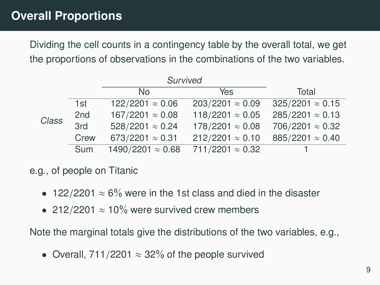# **Overall Proportions**

Dividing the cell counts in a contingency table by the overall total, we get the proportions of observations in the combinations of the two variables.

|       |                 | Survived                 |                         |                         |
|-------|-----------------|--------------------------|-------------------------|-------------------------|
|       |                 | No.                      | Yes                     | Total                   |
|       | 1st             | $122/2201 \approx 0.06$  | 203/2201 $\approx 0.09$ | $325/2201 \approx 0.15$ |
| Class | 2 <sub>nd</sub> | $167/2201 \approx 0.08$  | 118/2201 $\approx 0.05$ | 285/2201 $\approx$ 0.13 |
|       | 3rd             | $528/2201 \approx 0.24$  | $178/2201 \approx 0.08$ | 706/2201 $\approx$ 0.32 |
|       | Crew            | 673/2201 $\approx 0.31$  | 212/2201 $\approx 0.10$ | 885/2201 $\approx 0.40$ |
|       | Sum             | 1490/2201 $\approx$ 0.68 | 711/2201 $\approx$ 0.32 |                         |
|       |                 |                          |                         |                         |

#### e.g., of people on Titanic

- 122/2201  $\approx$  6% were in the 1st class and died in the disaster
- 212/2201  $\approx$  10% were survived crew members

Note the marginal totals give the distributions of the two variables, e.g.,

• Overall, 711/2201  $\approx$  32% of the people survived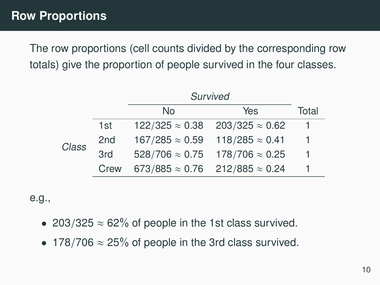The row proportions (cell counts divided by the corresponding row totals) give the proportion of people survived in the four classes.

|       |                 | Survived               |                                               |       |
|-------|-----------------|------------------------|-----------------------------------------------|-------|
|       |                 | No                     | Yes                                           | Total |
|       | 1st             | $122/325 \approx 0.38$ | $203/325 \approx 0.62$                        |       |
| Class | 2 <sub>nd</sub> | $167/285 \approx 0.59$ | $118/285 \approx 0.41$                        |       |
|       | 3rd             | $528/706 \approx 0.75$ | $178/706 \approx 0.25$                        | 1     |
|       | Crew            |                        | $673/885 \approx 0.76$ 212/885 $\approx 0.24$ |       |
|       |                 |                        |                                               |       |

e.g.,

- 203/325  $\approx$  62% of people in the 1st class survived.
- 178/706  $\approx$  25% of people in the 3rd class survived.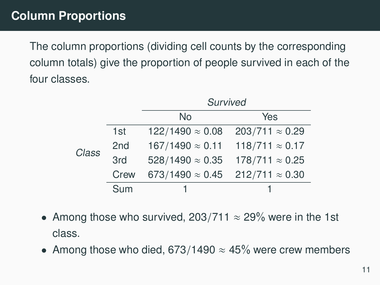The column proportions (dividing cell counts by the corresponding column totals) give the proportion of people survived in each of the four classes.

|       |      | Survived                |                        |  |
|-------|------|-------------------------|------------------------|--|
|       |      | No                      | Yes                    |  |
|       | 1st  | $122/1490 \approx 0.08$ | $203/711 \approx 0.29$ |  |
| Class | 2nd  | $167/1490 \approx 0.11$ | $118/711 \approx 0.17$ |  |
|       | 3rd  | $528/1490 \approx 0.35$ | $178/711 \approx 0.25$ |  |
|       | Crew | 673/1490 $\approx 0.45$ | $212/711 \approx 0.30$ |  |
|       | Sum  |                         |                        |  |

- Among those who survived, 203/711  $\approx$  29% were in the 1st class.
- Among those who died, 673/1490  $\approx$  45% were crew members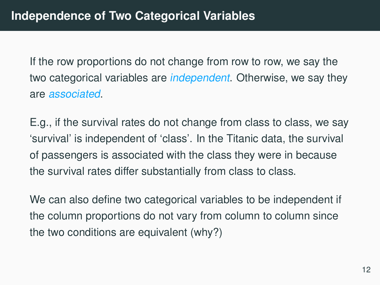If the row proportions do not change from row to row, we say the two categorical variables are *independent*. Otherwise, we say they are associated.

E.g., if the survival rates do not change from class to class, we say 'survival' is independent of 'class'. In the Titanic data, the survival of passengers is associated with the class they were in because the survival rates differ substantially from class to class.

We can also define two categorical variables to be independent if the column proportions do not vary from column to column since the two conditions are equivalent (why?)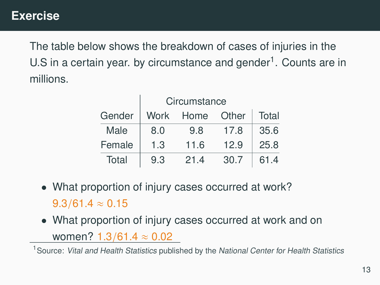The table below shows the breakdown of cases of injuries in the U.S in a certain year. by circumstance and gender<sup>1</sup>. Counts are in millions.

|        | Circumstance |      |       |       |
|--------|--------------|------|-------|-------|
| Gender | Work         | Home | Other | Total |
| Male   | 8.0          | 9.8  | 17.8  | 35.6  |
| Female | 1.3          | 11.6 | 12.9  | 25.8  |
| Total  | 9.3          | 214  | 30.7  | 61.4  |

- What proportion of injury cases occurred at work?  $9.3/61.4 \approx 0.15$
- What proportion of injury cases occurred at work and on women? <sup>1</sup>.3/61.<sup>4</sup> <sup>≈</sup> <sup>0</sup>.<sup>02</sup>

<sup>1</sup> Source: Vital and Health Statistics published by the National Center for Health Statistics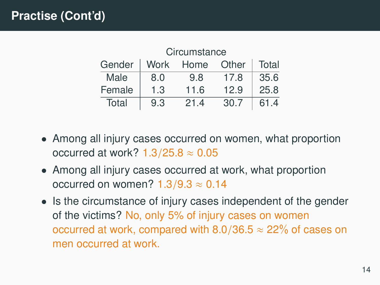| Circumstance |      |      |       |       |
|--------------|------|------|-------|-------|
| Gender       | Work | Home | Other | Total |
| Male         | 8.0  | 9.8  | 17.8  | 35.6  |
| Female       | 1.3  | 11.6 | 12.9  | 25.8  |
| Total        | 9.3  | 21.4 | 30.7  | 61.4  |

- Among all injury cases occurred on women, what proportion occurred at work?  $1.3/25.8 \approx 0.05$
- Among all injury cases occurred at work, what proportion occurred on women?  $1.3/9.3 \approx 0.14$
- Is the circumstance of injury cases independent of the gender of the victims? No, only 5% of injury cases on women occurred at work, compared with 8.0/36.5  $\approx$  22% of cases on men occurred at work.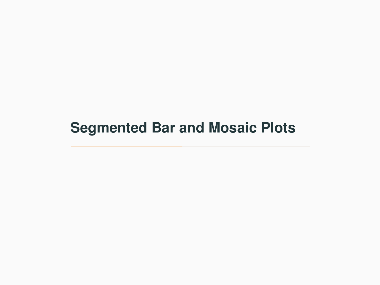# <span id="page-17-0"></span>**[Segmented Bar and Mosaic Plots](#page-17-0)**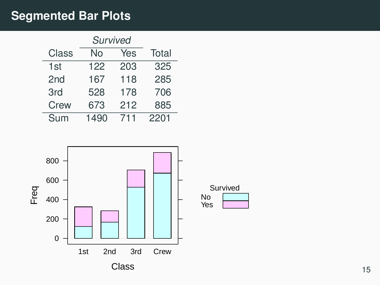# **Segmented Bar Plots**

|                 | Survived |     |       |  |
|-----------------|----------|-----|-------|--|
| Class           | No       | Yes | Total |  |
| 1st             | 122      | 203 | 325   |  |
| 2 <sub>nd</sub> | 167      | 118 | 285   |  |
| 3rd             | 528      | 178 | 706   |  |
| Crew            | 673      | 212 | 885   |  |
| Sum             | 1490     | 711 | 2201  |  |

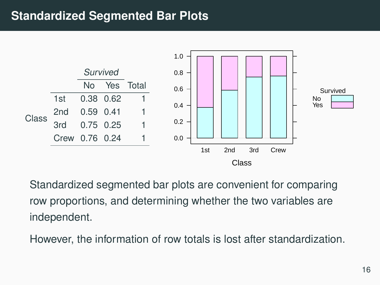#### **Standardized Segmented Bar Plots**



Standardized segmented bar plots are convenient for comparing row proportions, and determining whether the two variables are independent.

However, the information of row totals is lost after standardization.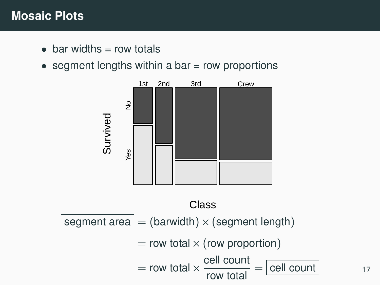#### **Mosaic Plots**

- $\bullet$  bar widths = row totals
- segment lengths within a bar  $=$  row proportions

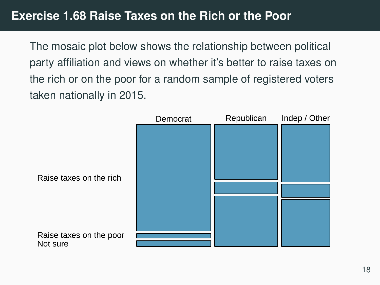The mosaic plot below shows the relationship between political party affiliation and views on whether it's better to raise taxes on the rich or on the poor for a random sample of registered voters taken nationally in 2015.

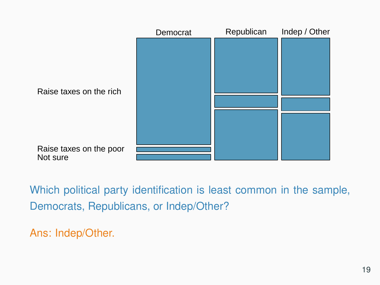

Which political party identification is least common in the sample, Democrats, Republicans, or Indep/Other?

Ans: Indep/Other.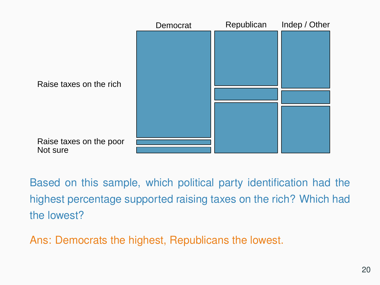

Based on this sample, which political party identification had the highest percentage supported raising taxes on the rich? Which had the lowest?

Ans: Democrats the highest, Republicans the lowest.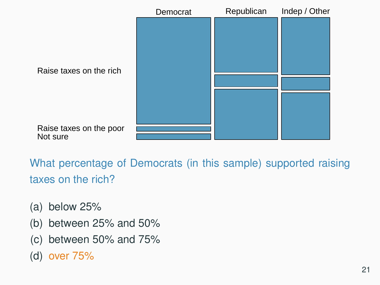

What percentage of Democrats (in this sample) supported raising taxes on the rich?

- (a) below 25%
- (b) between 25% and 50%
- (c) between 50% and 75%
- (d) over 75%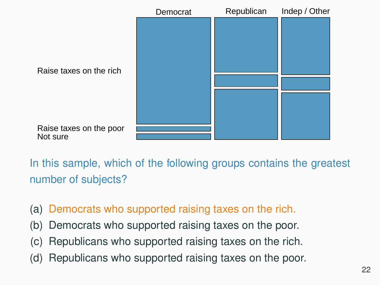

In this sample, which of the following groups contains the greatest number of subjects?

- (a) Democrats who supported raising taxes on the rich.
- (b) Democrats who supported raising taxes on the poor.
- (c) Republicans who supported raising taxes on the rich.
- (d) Republicans who supported raising taxes on the poor.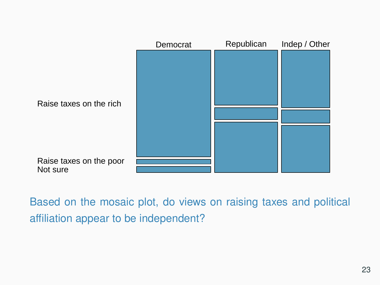

Based on the mosaic plot, do views on raising taxes and political affiliation appear to be independent?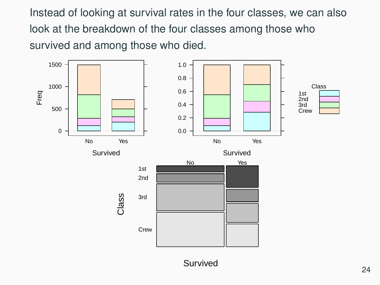Instead of looking at survival rates in the four classes, we can also look at the breakdown of the four classes among those who survived and among those who died.



Survived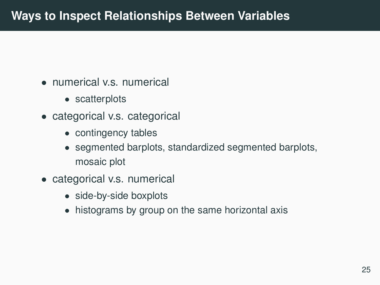- numerical v.s. numerical
	- scatterplots
- categorical v.s. categorical
	- contingency tables
	- segmented barplots, standardized segmented barplots, mosaic plot
- categorical v.s. numerical
	- side-by-side boxplots
	- histograms by group on the same horizontal axis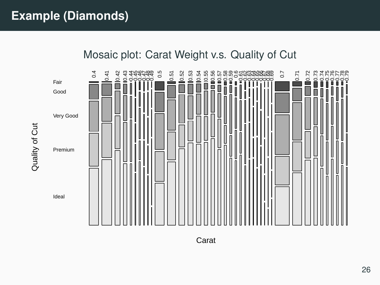Quality of Cut





Carat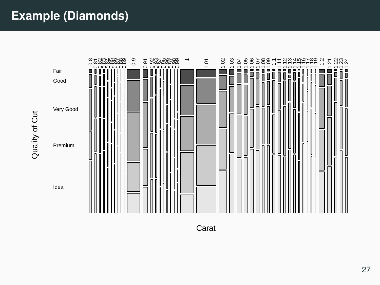

Carat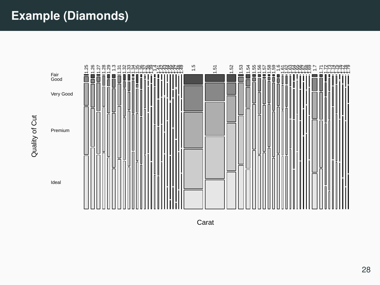

Carat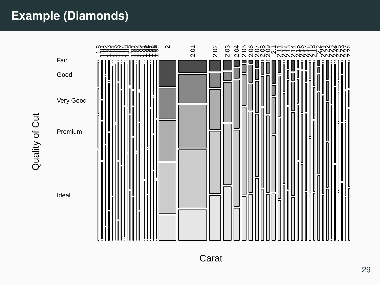Quality of Cut

Quality of Cut